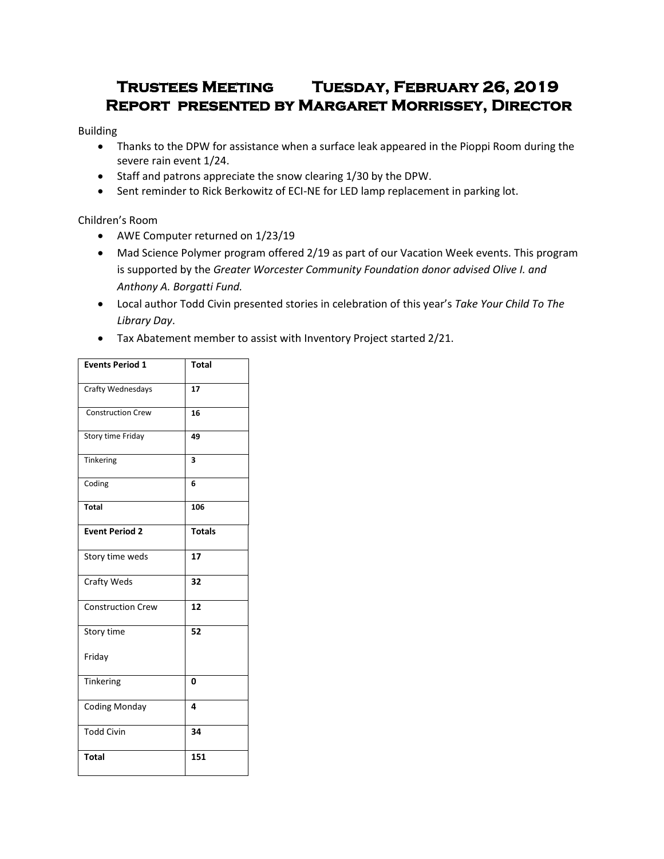# **Trustees Meeting Tuesday, February 26, 2019 Report presented by Margaret Morrissey, Director**

### Building

- Thanks to the DPW for assistance when a surface leak appeared in the Pioppi Room during the severe rain event 1/24.
- Staff and patrons appreciate the snow clearing 1/30 by the DPW.
- Sent reminder to Rick Berkowitz of ECI-NE for LED lamp replacement in parking lot.

## Children's Room

- AWE Computer returned on 1/23/19
- Mad Science Polymer program offered 2/19 as part of our Vacation Week events. This program is supported by the *Greater Worcester Community Foundation donor advised Olive I. and Anthony A. Borgatti Fund.*
- Local author Todd Civin presented stories in celebration of this year's *Take Your Child To The Library Day*.
- Tax Abatement member to assist with Inventory Project started 2/21.

| <b>Events Period 1</b>   | <b>Total</b>  |
|--------------------------|---------------|
| Crafty Wednesdays        | 17            |
| <b>Construction Crew</b> | 16            |
| Story time Friday        | 49            |
| Tinkering                | 3             |
| Coding                   | 6             |
| <b>Total</b>             | 106           |
| <b>Event Period 2</b>    | <b>Totals</b> |
| Story time weds          | 17            |
| <b>Crafty Weds</b>       | 32            |
| <b>Construction Crew</b> | 12            |
| Story time               | 52            |
| Friday                   |               |
| Tinkering                | 0             |
| <b>Coding Monday</b>     | 4             |
| <b>Todd Civin</b>        | 34            |
| <b>Total</b>             | 151           |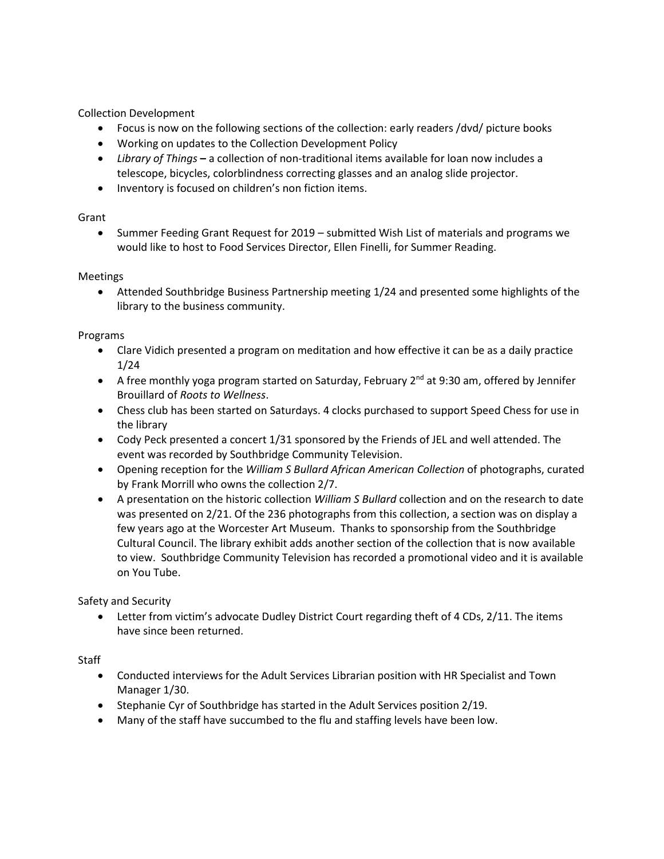Collection Development

- Focus is now on the following sections of the collection: early readers /dvd/ picture books
- Working on updates to the Collection Development Policy
- *Library of Things* **–** a collection of non-traditional items available for loan now includes a telescope, bicycles, colorblindness correcting glasses and an analog slide projector.
- Inventory is focused on children's non fiction items.

#### Grant

• Summer Feeding Grant Request for 2019 – submitted Wish List of materials and programs we would like to host to Food Services Director, Ellen Finelli, for Summer Reading.

#### Meetings

 Attended Southbridge Business Partnership meeting 1/24 and presented some highlights of the library to the business community.

#### Programs

- Clare Vidich presented a program on meditation and how effective it can be as a daily practice 1/24
- A free monthly yoga program started on Saturday, February  $2^{nd}$  at 9:30 am, offered by Jennifer Brouillard of *Roots to Wellness*.
- Chess club has been started on Saturdays. 4 clocks purchased to support Speed Chess for use in the library
- Cody Peck presented a concert 1/31 sponsored by the Friends of JEL and well attended. The event was recorded by Southbridge Community Television.
- Opening reception for the *William S Bullard African American Collection* of photographs, curated by Frank Morrill who owns the collection 2/7.
- A presentation on the historic collection *William S Bullard* collection and on the research to date was presented on 2/21. Of the 236 photographs from this collection, a section was on display a few years ago at the Worcester Art Museum. Thanks to sponsorship from the Southbridge Cultural Council. The library exhibit adds another section of the collection that is now available to view. Southbridge Community Television has recorded a promotional video and it is available on You Tube.

Safety and Security

 Letter from victim's advocate Dudley District Court regarding theft of 4 CDs, 2/11. The items have since been returned.

#### Staff

- Conducted interviews for the Adult Services Librarian position with HR Specialist and Town Manager 1/30.
- Stephanie Cyr of Southbridge has started in the Adult Services position 2/19.
- Many of the staff have succumbed to the flu and staffing levels have been low.